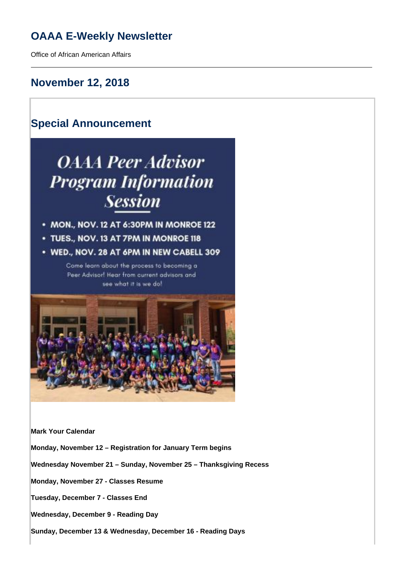## **OAAA E-Weekly Newsletter**

Office of African American Affairs

### **November 12, 2018**

# **Special Announcement OAAA Peer Advisor Program Information Session**

- MON., NOV. 12 AT 6:30PM IN MONROE 122
- TUES., NOV. 13 AT 7PM IN MONROE 118
- WED., NOV. 28 AT 6PM IN NEW CABELL 309

Come learn about the process to becoming a Peer Advisor! Hear from current advisors and see what it is we do!



**Mark Your Calendar**

**Monday, November 12 – Registration for January Term begins** 

**Wednesday November 21 – Sunday, November 25 – Thanksgiving Recess**

**Monday, November 27 - Classes Resume**

**Tuesday, December 7 - Classes End**

**Wednesday, December 9 - Reading Day**

**Sunday, December 13 & Wednesday, December 16 - Reading Days**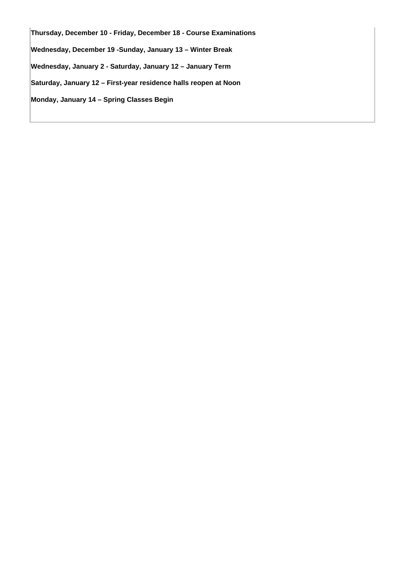**Thursday, December 10 - Friday, December 18 - Course Examinations Wednesday, December 19 -Sunday, January 13 – Winter Break Wednesday, January 2 - Saturday, January 12 – January Term Saturday, January 12 – First-year residence halls reopen at Noon Monday, January 14 – Spring Classes Begin**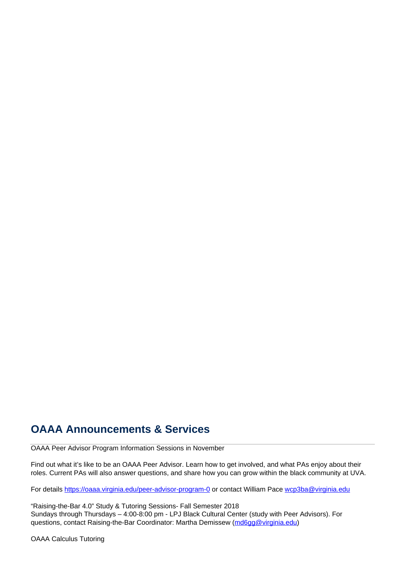### **OAAA Announcements & Services**

OAAA Peer Advisor Program Information Sessions in November

Find out what it's like to be an OAAA Peer Advisor. Learn how to get involved, and what PAs enjoy about their roles. Current PAs will also answer questions, and share how you can grow within the black community at UVA.

For details <https://oaaa.virginia.edu/peer-advisor-program-0>or contact William Pace wcp3ba@virginia.edu

"Raising-the-Bar 4.0" Study & Tutoring Sessions- Fall Semester 2018 Sundays through Thursdays – 4:00-8:00 pm - LPJ Black Cultural Center (study with Peer Advisors). For questions, contact Raising-the-Bar Coordinator: Martha Demissew (md6gg@virginia.edu)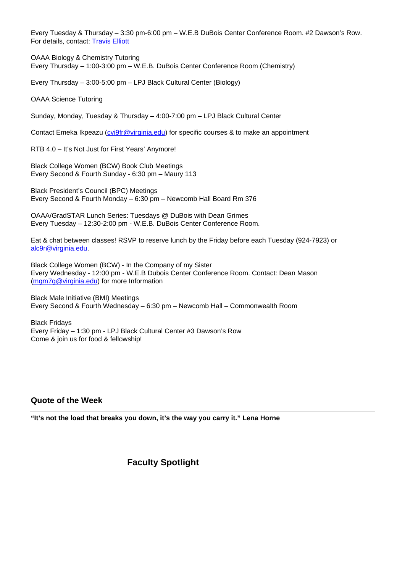Every Tuesday & Thursday – 3:30 pm-6:00 pm – W.E.B DuBois Center Conference Room. #2 Dawson's Row. For details, contact: Travis Elliott

OAAA Biology & Chemistry Tutoring Every Thursday – 1:00-3:00 pm – W.E.B. DuBois Center Conference Room (Chemistry)

Every Thursday – 3:00-5:00 pm – LPJ Black Cultural Center (Biology)

OAAA Science Tutoring

Sunday, Monday, Tuesday & Thursday – 4:00-7:00 pm – LPJ Black Cultural Center

Contact Emeka Ikpeazu (*cvi9fr@virginia.edu*) for specific courses & to make an appointment

RTB 4.0 – It's Not Just for First Years' Anymore!

Black College Women (BCW) Book Club Meetings Every Second & Fourth Sunday - 6:30 pm – Maury 113

Black President's Council (BPC) Meetings Every Second & Fourth Monday – 6:30 pm – Newcomb Hall Board Rm 376

OAAA/GradSTAR Lunch Series: Tuesdays @ DuBois with Dean Grimes Every Tuesday – 12:30-2:00 pm - W.E.B. DuBois Center Conference Room.

Eat & chat between classes! RSVP to reserve lunch by the Friday before each Tuesday (924-7923) or alc9r@virginia.edu.

Black College Women (BCW) - In the Company of my Sister Every Wednesday - 12:00 pm - W.E.B Dubois Center Conference Room. Contact: Dean Mason (mgm7g@virginia.edu) for more Information

Black Male Initiative (BMI) Meetings Every Second & Fourth Wednesday – 6:30 pm – Newcomb Hall – Commonwealth Room

Black Fridays Every Friday – 1:30 pm - LPJ Black Cultural Center #3 Dawson's Row Come & join us for food & fellowship!

### **Quote of the Week**

**"It's not the load that breaks you down, it's the way you carry it." Lena Horne**

### **Faculty Spotlight**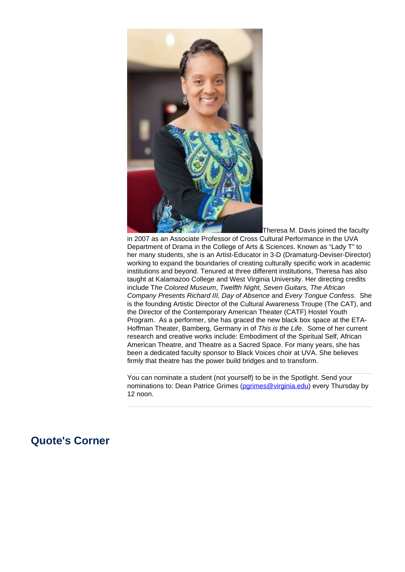

in 2007 as an Associate Professor of Cross Cultural Performance in the UVA Department of Drama in the College of Arts & Sciences. Known as "Lady T" to her many students, she is an Artist-Educator in 3-D (Dramaturg-Deviser-Director) working to expand the boundaries of creating culturally specific work in academic institutions and beyond. Tenured at three different institutions, Theresa has also taught at Kalamazoo College and West Virginia University. Her directing credits include The Colored Museum, Twelfth Night, Seven Guitars, The African Company Presents Richard III, Day of Absence and Every Tongue Confess. She is the founding Artistic Director of the Cultural Awareness Troupe (The CAT), and the Director of the Contemporary American Theater (CATF) Hostel Youth Program. As a performer, she has graced the new black box space at the ETA-Hoffman Theater, Bamberg, Germany in of This is the Life. Some of her current research and creative works include: Embodiment of the Spiritual Self, African American Theatre, and Theatre as a Sacred Space. For many years, she has been a dedicated faculty sponsor to Black Voices choir at UVA. She believes firmly that theatre has the power build bridges and to transform.

You can nominate a student (not yourself) to be in the Spotlight. Send your nominations to: Dean Patrice Grimes (parimes@virginia.edu) every Thursday by 12 noon.

### **Quote's Corner**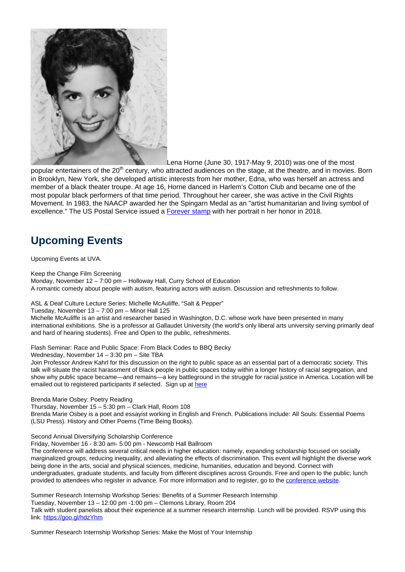

Lena Horne (June 30, 1917-May 9, 2010) was one of the most

popular entertainers of the 20<sup>th</sup> century, who attracted audiences on the stage, at the theatre, and in movies. Born in Brooklyn, New York, she developed artistic interests from her mother, Edna, who was herself an actress and member of a black theater troupe. At age 16, Horne danced in Harlem's Cotton Club and became one of the most popular black performers of that time period. Throughout her career, she was active in the Civil Rights Movement. In 1983, the NAACP awarded her the Spingarn Medal as an "artist humanitarian and living symbol of excellence." The US Postal Service issued a Forever stamp with her portrait n her honor in 2018.

# **Upcoming Events**

Upcoming Events at UVA.

Keep the Change Film Screening

Monday, November 12 – 7:00 pm – Holloway Hall, Curry School of Education A romantic comedy about people with autism, featuring actors with autism. Discussion and refreshments to follow.

ASL & Deaf Culture Lecture Series: Michelle McAuliffe, "Salt & Pepper"

Tuesday, November 13 – 7:00 pm – Minor Hall 125

Michelle McAuliffe is an artist and researcher based in Washington, D.C. whose work have been presented in many international exhibitions. She is a professor at Gallaudet University (the world's only liberal arts university serving primarily deaf and hard of hearing students). Free and Open to the public, refreshments.

Flash Seminar: Race and Public Space: From Black Codes to BBQ Becky

Wednesday, November 14 – 3:30 pm – Site TBA

Join Professor Andrew Kahrl for this discussion on the right to public space as an essential part of a democratic society. This talk will situate the racist harassment of Black people in public spaces today within a longer history of racial segregation, and show why public space became—and remains—a key battleground in the struggle for racial justice in America. Location will be emailed out to registered participants if selected. Sign up at here

Brenda Marie Osbey: Poetry Reading

Thursday, November 15 – 5:30 pm – Clark Hall, Room 108 Brenda Marie Osbey is a poet and essayist working in English and French. Publications include: All Souls: Essential Poems (LSU Press). History and Other Poems (Time Being Books).

Second Annual Diversifying Scholarship Conference

Friday, November 16 - 8:30 am- 5:00 pm - Newcomb Hall Ballroom

The conference will address several critical needs in higher education: namely, expanding scholarship focused on socially marginalized groups, reducing inequality, and alleviating the effects of discrimination. This event will highlight the diverse work being done in the arts, social and physical sciences, medicine, humanities, education and beyond. Connect with undergraduates, graduate students, and faculty from different disciplines across Grounds. Free and open to the public; lunch provided to attendees who register in advance. For more information and to register, go to the conference website.

Summer Research Internship Workshop Series: Benefits of a Summer Research Internship

Tuesday, November 13 – 12:00 pm -1:00 pm – Clemons Library, Room 204

Talk with student panelists about their experience at a summer research internship. Lunch will be provided. RSVP using this link: https://goo.gl/hdzYhm

Summer Research Internship Workshop Series: Make the Most of Your Internship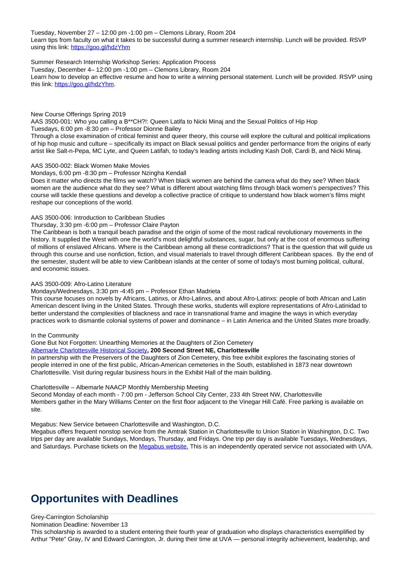Tuesday, November 27 – 12:00 pm -1:00 pm – Clemons Library, Room 204 Learn tips from faculty on what it takes to be successful during a summer research internship. Lunch will be provided. RSVP using this link: https://goo.gl/hdzYhm

#### Summer Research Internship Workshop Series: Application Process

Tuesday, December 4– 12:00 pm -1:00 pm – Clemons Library, Room 204

Learn how to develop an effective resume and how to write a winning personal statement. Lunch will be provided. RSVP using this link: https://goo.gl/hdzYhm.

#### New Course Offerings Spring 2019 AAS 3500-001: Who you calling a B\*\*CH?!: Queen Latifa to Nicki Minaj and the Sexual Politics of Hip Hop Tuesdays, 6:00 pm -8:30 pm – Professor Dionne Bailey

Through a close examination of critical feminist and queer theory, this course will explore the cultural and political implications of hip hop music and culture – specifically its impact on Black sexual politics and gender performance from the origins of early artist like Salt-n-Pepa, MC Lyte, and Queen Latifah, to today's leading artists including Kash Doll, Cardi B, and Nicki Minaj.

#### AAS 3500-002: Black Women Make Movies

#### Mondays, 6:00 pm -8:30 pm – Professor Nzingha Kendall

Does it matter who directs the films we watch? When black women are behind the camera what do they see? When black women are the audience what do they see? What is different about watching films through black women's perspectives? This course will tackle these questions and develop a collective practice of critique to understand how black women's films might reshape our conceptions of the world.

#### AAS 3500-006: Introduction to Caribbean Studies

#### Thursday, 3:30 pm -6:00 pm – Professor Claire Payton

The Caribbean is both a tranquil beach paradise and the origin of some of the most radical revolutionary movements in the history. It supplied the West with one the world's most delightful substances, sugar, but only at the cost of enormous suffering of millions of enslaved Africans. Where is the Caribbean among all these contradictions? That is the question that will guide us through this course and use nonfiction, fiction, and visual materials to travel through different Caribbean spaces. By the end of the semester, student will be able to view Caribbean islands at the center of some of today's most burning political, cultural, and economic issues.

#### AAS 3500-009: Afro-Latino Literature

#### Mondays/Wednesdays, 3:30 pm -4:45 pm – Professor Ethan Madrieta

This course focuses on novels by Africans, Latinxs, or Afro-Latinxs, and about Afro-Latinxs: people of both African and Latin American descent living in the United States. Through these works, students will explore representations of Afro-Latinidad to better understand the complexities of blackness and race in transnational frame and imagine the ways in which everyday practices work to dismantle colonial systems of power and dominance – in Latin America and the United States more broadly.

#### In the Community

#### Gone But Not Forgotten: Unearthing Memories at the Daughters of Zion Cemetery

#### Albemarle Charlottesville Historical Society**, 200 Second Street NE, Charlottesville**

In partnership with the Preservers of the Daughters of Zion Cemetery, this free exhibit explores the fascinating stories of people interred in one of the first public, African-American cemeteries in the South, established in 1873 near downtown Charlottesville. Visit during regular business hours in the Exhibit Hall of the main building.

#### Charlottesville – Albemarle NAACP Monthly Membership Meeting

Second Monday of each month - 7:00 pm - Jefferson School City Center, 233 4th Street NW, Charlottesville Members gather in the Mary Williams Center on the first floor adjacent to the Vinegar Hill Café. Free parking is available on site.

#### Megabus: New Service between Charlottesville and Washington, D.C.

Megabus offers frequent nonstop service from the Amtrak Station in Charlottesville to Union Station in Washington, D.C. Two trips per day are available Sundays, Mondays, Thursday, and Fridays. One trip per day is available Tuesdays, Wednesdays, and Saturdays. Purchase tickets on the Megabus website. This is an independently operated service not associated with UVA.

### **Opportunites with Deadlines**

#### Grey-Carrington Scholarship

Nomination Deadline: November 13

This scholarship is awarded to a student entering their fourth year of graduation who displays characteristics exemplified by Arthur "Pete" Gray, IV and Edward Carrington, Jr. during their time at UVA — personal integrity achievement, leadership, and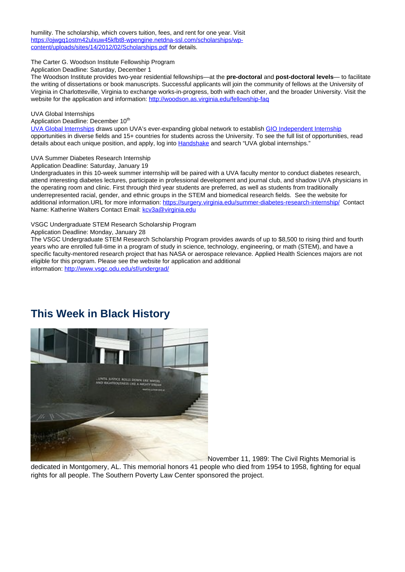humility. The scholarship, which covers tuition, fees, and rent for one year. Visit https://ojwgq1ostm42ulxuw45kfbt8-wpengine.netdna-ssl.com/scholarships/wpcontent/uploads/sites/14/2012/02/Scholarships.pdf for details.

The Carter G. Woodson Institute Fellowship Program

Application Deadline: Saturday, December 1

The Woodson Institute provides two-year residential fellowships—at the **pre-doctoral** and **post-doctoral levels**— to facilitate the writing of dissertations or book manuscripts. Successful applicants will join the community of fellows at the University of Virginia in Charlottesville, Virginia to exchange works-in-progress, both with each other, and the broader University. Visit the website for the application and information: http://woodson.as.virginia.edu/fellowship-faq

#### UVA Global Internships

Application Deadline: December 10<sup>th</sup>

UVA Global Internships draws upon UVA's ever-expanding global network to establish GIO Independent Internship opportunities in diverse fields and 15+ countries for students across the University. To see the full list of opportunities, read details about each unique position, and apply, log into **Handshake** and search "UVA global internships."

#### UVA Summer Diabetes Research Internship

Application Deadline: Saturday, January 19

Undergraduates in this 10-week summer internship will be paired with a UVA faculty mentor to conduct diabetes research, attend interesting diabetes lectures, participate in professional development and journal club, and shadow UVA physicians in the operating room and clinic. First through third year students are preferred, as well as students from traditionally underrepresented racial, gender, and ethnic groups in the STEM and biomedical research fields. See the website for additional information.URL for more information: https://surgery.virginia.edu/summer-diabetes-research-internship/ Contact Name: Katherine Walters Contact Email: kcv3a@virginia.edu

#### VSGC Undergraduate STEM Research Scholarship Program

Application Deadline: Monday, January 28

The VSGC Undergraduate STEM Research Scholarship Program provides awards of up to \$8,500 to rising third and fourth years who are enrolled full-time in a program of study in science, technology, engineering, or math (STEM), and have a specific faculty-mentored research project that has NASA or aerospace relevance. Applied Health Sciences majors are not eligible for this program. Please see the website for application and additional

information: http://www.vsgc.odu.edu/sf/undergrad/

### **This Week in Black History**



November 11, 1989: The Civil Rights Memorial is

dedicated in Montgomery, AL. This memorial honors 41 people who died from 1954 to 1958, fighting for equal rights for all people. The Southern Poverty Law Center sponsored the project.